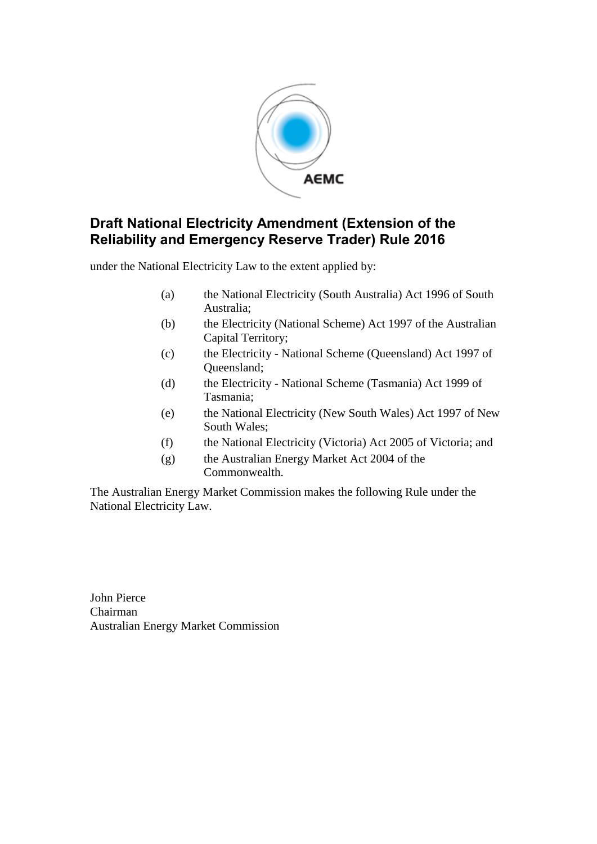

# **Draft National Electricity Amendment (Extension of the Reliability and Emergency Reserve Trader) Rule 2016**

under the National Electricity Law to the extent applied by:

- (a) the National Electricity (South Australia) Act 1996 of South Australia;
- (b) the Electricity (National Scheme) Act 1997 of the Australian Capital Territory;
- (c) the Electricity National Scheme (Queensland) Act 1997 of Queensland;
- (d) the Electricity National Scheme (Tasmania) Act 1999 of Tasmania;
- (e) the National Electricity (New South Wales) Act 1997 of New South Wales;
- (f) the National Electricity (Victoria) Act 2005 of Victoria; and
- (g) the Australian Energy Market Act 2004 of the Commonwealth.

The Australian Energy Market Commission makes the following Rule under the National Electricity Law.

John Pierce Chairman Australian Energy Market Commission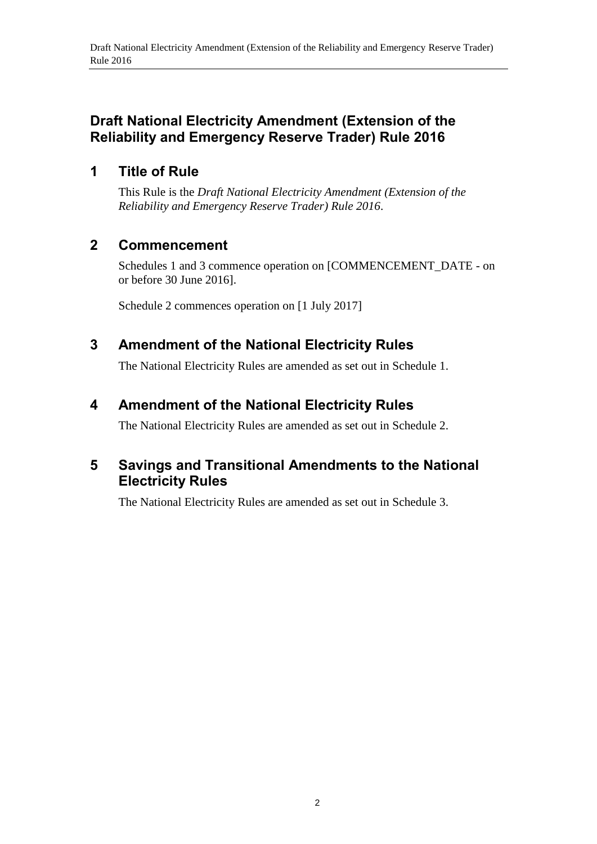# **Draft National Electricity Amendment (Extension of the Reliability and Emergency Reserve Trader) Rule 2016**

# **1 Title of Rule**

This Rule is the *Draft National Electricity Amendment (Extension of the Reliability and Emergency Reserve Trader) Rule 2016*.

# **2 Commencement**

Schedules 1 and 3 commence operation on [COMMENCEMENT\_DATE - on or before 30 June 2016].

Schedule 2 commences operation on [1 July 2017]

# <span id="page-1-0"></span>**3 Amendment of the National Electricity Rules**

The National Electricity Rules are amended as set out in [Schedule 1.](#page-2-0)

# <span id="page-1-1"></span>**4 Amendment of the National Electricity Rules**

The National Electricity Rules are amended as set out in [Schedule 2.](#page-3-0)

# <span id="page-1-2"></span>**5 Savings and Transitional Amendments to the National Electricity Rules**

The National Electricity Rules are amended as set out in [Schedule 3.](#page-4-0)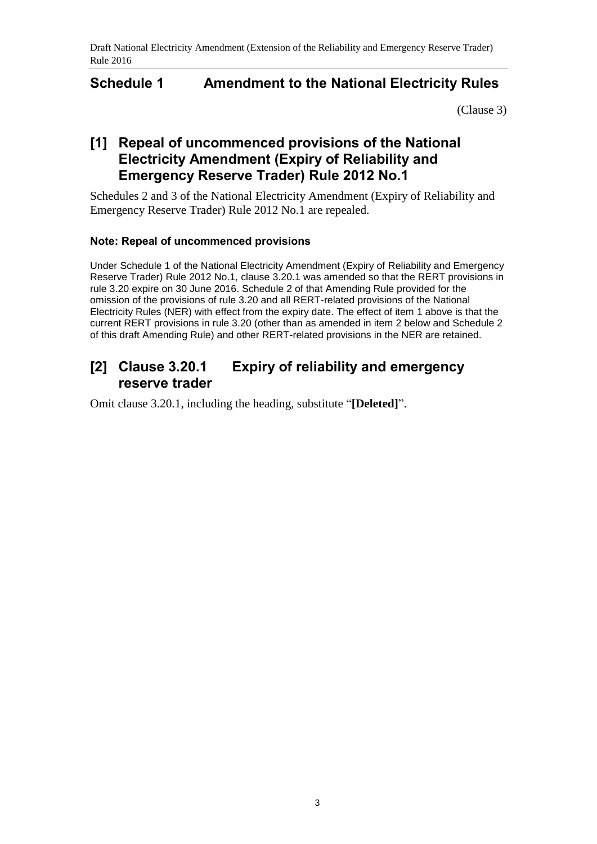## <span id="page-2-0"></span>**Schedule 1 Amendment to the National Electricity Rules**

[\(Clause 3\)](#page-1-0)

# **[1] Repeal of uncommenced provisions of the National Electricity Amendment (Expiry of Reliability and Emergency Reserve Trader) Rule 2012 No.1**

Schedules 2 and 3 of the National Electricity Amendment (Expiry of Reliability and Emergency Reserve Trader) Rule 2012 No.1 are repealed.

### **Note: Repeal of uncommenced provisions**

Under Schedule 1 of the National Electricity Amendment (Expiry of Reliability and Emergency Reserve Trader) Rule 2012 No.1, clause 3.20.1 was amended so that the RERT provisions in rule 3.20 expire on 30 June 2016. Schedule 2 of that Amending Rule provided for the omission of the provisions of rule 3.20 and all RERT-related provisions of the National Electricity Rules (NER) with effect from the expiry date. The effect of item 1 above is that the current RERT provisions in rule 3.20 (other than as amended in item 2 below and Schedule 2 of this draft Amending Rule) and other RERT-related provisions in the NER are retained.

## **[2] Clause 3.20.1 Expiry of reliability and emergency reserve trader**

Omit clause 3.20.1, including the heading, substitute "**[Deleted]**".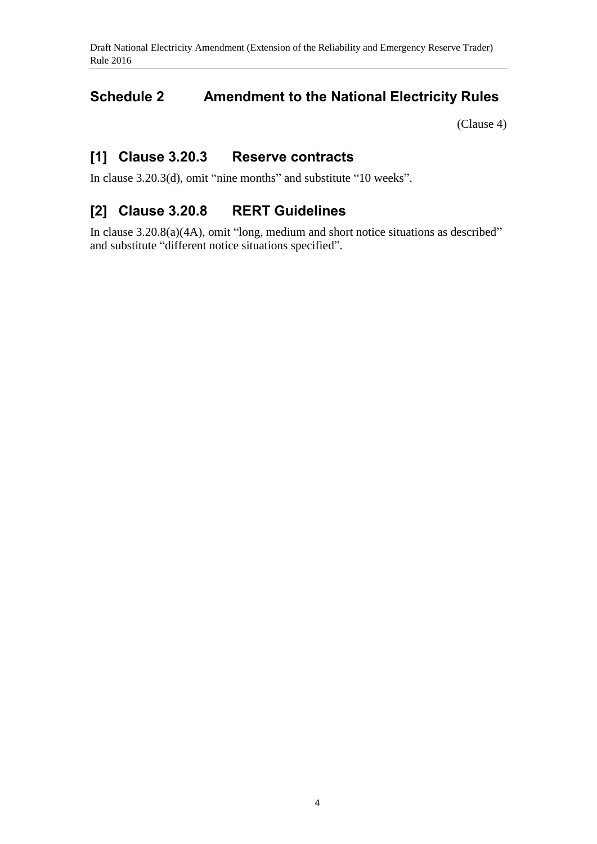# <span id="page-3-0"></span>**Schedule 2 Amendment to the National Electricity Rules**

[\(Clause 4\)](#page-1-1)

## **[1] Clause 3.20.3 Reserve contracts**

In clause 3.20.3(d), omit "nine months" and substitute "10 weeks".

# **[2] Clause 3.20.8 RERT Guidelines**

In clause 3.20.8(a)(4A), omit "long, medium and short notice situations as described" and substitute "different notice situations specified".